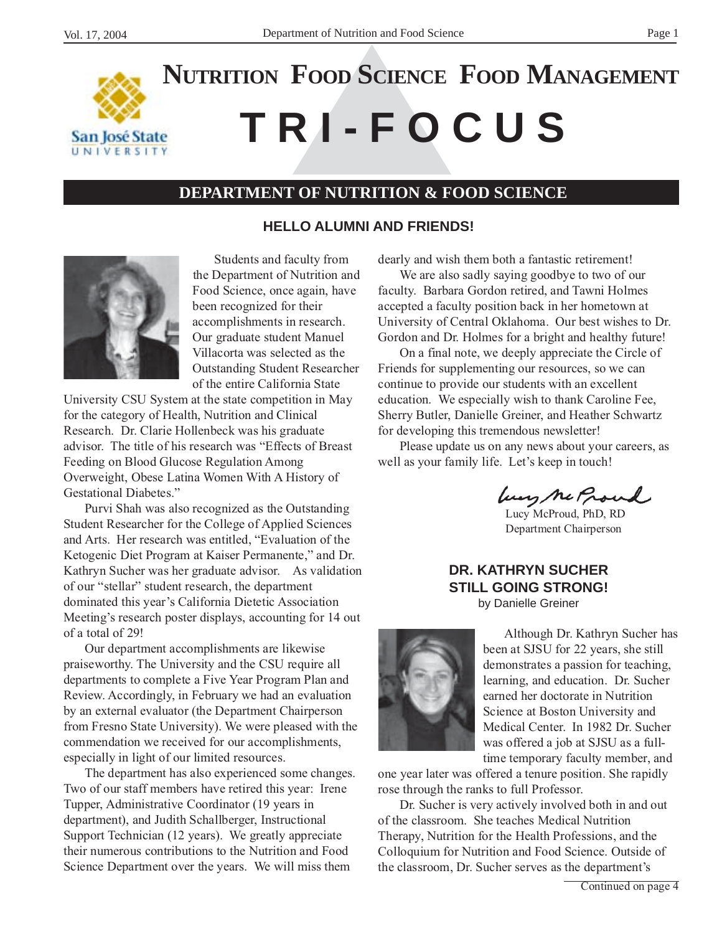

# **T R I - F O C U S NUTRITION FOOD SCIENCE FOOD MANAGEMENT**

## **DEPARTMENT OF NUTRITION & FOOD SCIENCE**

## **HELLO ALUMNI AND FRIENDS!**



Students and faculty from the Department of Nutrition and Food Science, once again, have been recognized for their accomplishments in research. Our graduate student Manuel Villacorta was selected as the Outstanding Student Researcher of the entire California State

University CSU System at the state competition in May for the category of Health, Nutrition and Clinical Research. Dr. Clarie Hollenbeck was his graduate advisor. The title of his research was "Effects of Breast Feeding on Blood Glucose Regulation Among Overweight, Obese Latina Women With A History of Gestational Diabetes."

Purvi Shah was also recognized as the Outstanding Student Researcher for the College of Applied Sciences and Arts. Her research was entitled, "Evaluation of the Ketogenic Diet Program at Kaiser Permanente," and Dr. Kathryn Sucher was her graduate advisor. As validation of our "stellar" student research, the department dominated this year's California Dietetic Association Meeting's research poster displays, accounting for 14 out of a total of 29!

Our department accomplishments are likewise praiseworthy. The University and the CSU require all departments to complete a Five Year Program Plan and Review. Accordingly, in February we had an evaluation by an external evaluator (the Department Chairperson from Fresno State University). We were pleased with the commendation we received for our accomplishments, especially in light of our limited resources.

The department has also experienced some changes. Two of our staff members have retired this year: Irene Tupper, Administrative Coordinator (19 years in department), and Judith Schallberger, Instructional Support Technician (12 years). We greatly appreciate their numerous contributions to the Nutrition and Food Science Department over the years. We will miss them

dearly and wish them both a fantastic retirement!

We are also sadly saying goodbye to two of our faculty. Barbara Gordon retired, and Tawni Holmes accepted a faculty position back in her hometown at University of Central Oklahoma. Our best wishes to Dr. Gordon and Dr. Holmes for a bright and healthy future!

On a final note, we deeply appreciate the Circle of Friends for supplementing our resources, so we can continue to provide our students with an excellent education. We especially wish to thank Caroline Fee, Sherry Butler, Danielle Greiner, and Heather Schwartz for developing this tremendous newsletter!

Please update us on any news about your careers, as well as your family life. Let's keep in touch!

lung ne Proud

Lucy McProud, PhD, RD Department Chairperson

# **DR. KATHRYN SUCHER STILL GOING STRONG!**

by Danielle Greiner



Although Dr. Kathryn Sucher has been at SJSU for 22 years, she still demonstrates a passion for teaching, learning, and education. Dr. Sucher earned her doctorate in Nutrition Science at Boston University and Medical Center. In 1982 Dr. Sucher was offered a job at SJSU as a fulltime temporary faculty member, and

one year later was offered a tenure position. She rapidly rose through the ranks to full Professor.

Dr. Sucher is very actively involved both in and out of the classroom. She teaches Medical Nutrition Therapy, Nutrition for the Health Professions, and the Colloquium for Nutrition and Food Science. Outside of the classroom, Dr. Sucher serves as the department's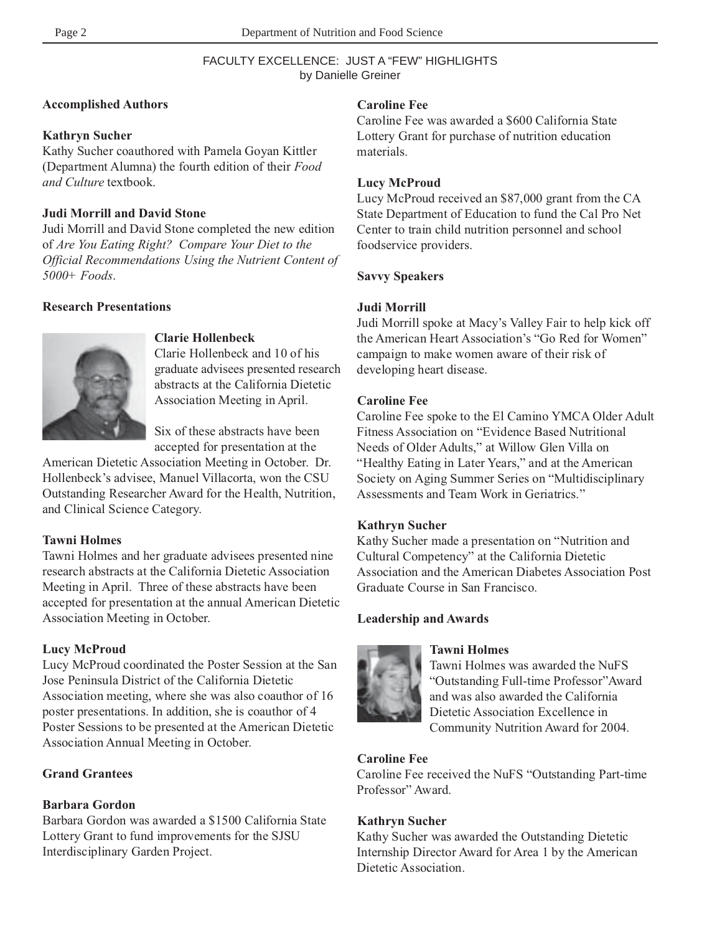#### FACULTY EXCELLENCE: JUST A "FEW" HIGHLIGHTS by Danielle Greiner

#### **Accomplished Authors**

#### **Kathryn Sucher**

Kathy Sucher coauthored with Pamela Goyan Kittler (Department Alumna) the fourth edition of their *Food and Culture* textbook.

## **Judi Morrill and David Stone**

Judi Morrill and David Stone completed the new edition of *Are You Eating Right? Compare Your Diet to the Official Recommendations Using the Nutrient Content of 5000+ Foods*.

## **Research Presentations**



#### **Clarie Hollenbeck**

Clarie Hollenbeck and 10 of his graduate advisees presented research abstracts at the California Dietetic Association Meeting in April.

Six of these abstracts have been accepted for presentation at the

American Dietetic Association Meeting in October. Dr. Hollenbeck's advisee, Manuel Villacorta, won the CSU Outstanding Researcher Award for the Health, Nutrition, and Clinical Science Category.

## **Tawni Holmes**

Tawni Holmes and her graduate advisees presented nine research abstracts at the California Dietetic Association Meeting in April. Three of these abstracts have been accepted for presentation at the annual American Dietetic Association Meeting in October.

## **Lucy McProud**

Lucy McProud coordinated the Poster Session at the San Jose Peninsula District of the California Dietetic Association meeting, where she was also coauthor of 16 poster presentations. In addition, she is coauthor of 4 Poster Sessions to be presented at the American Dietetic Association Annual Meeting in October.

## **Grand Grantees**

## **Barbara Gordon**

Barbara Gordon was awarded a \$1500 California State Lottery Grant to fund improvements for the SJSU Interdisciplinary Garden Project.

## **Caroline Fee**

Caroline Fee was awarded a \$600 California State Lottery Grant for purchase of nutrition education materials.

#### **Lucy McProud**

Lucy McProud received an \$87,000 grant from the CA State Department of Education to fund the Cal Pro Net Center to train child nutrition personnel and school foodservice providers.

#### **Savvy Speakers**

#### **Judi Morrill**

Judi Morrill spoke at Macy's Valley Fair to help kick off the American Heart Association's "Go Red for Women" campaign to make women aware of their risk of developing heart disease.

#### **Caroline Fee**

Caroline Fee spoke to the El Camino YMCA Older Adult Fitness Association on "Evidence Based Nutritional Needs of Older Adults," at Willow Glen Villa on "Healthy Eating in Later Years," and at the American Society on Aging Summer Series on "Multidisciplinary Assessments and Team Work in Geriatrics."

#### **Kathryn Sucher**

Kathy Sucher made a presentation on "Nutrition and Cultural Competency" at the California Dietetic Association and the American Diabetes Association Post Graduate Course in San Francisco.

## **Leadership and Awards**



## **Tawni Holmes**

Tawni Holmes was awarded the NuFS "Outstanding Full-time Professor"Award and was also awarded the California Dietetic Association Excellence in Community Nutrition Award for 2004.

## **Caroline Fee**

Caroline Fee received the NuFS "Outstanding Part-time Professor" Award.

## **Kathryn Sucher**

Kathy Sucher was awarded the Outstanding Dietetic Internship Director Award for Area 1 by the American Dietetic Association.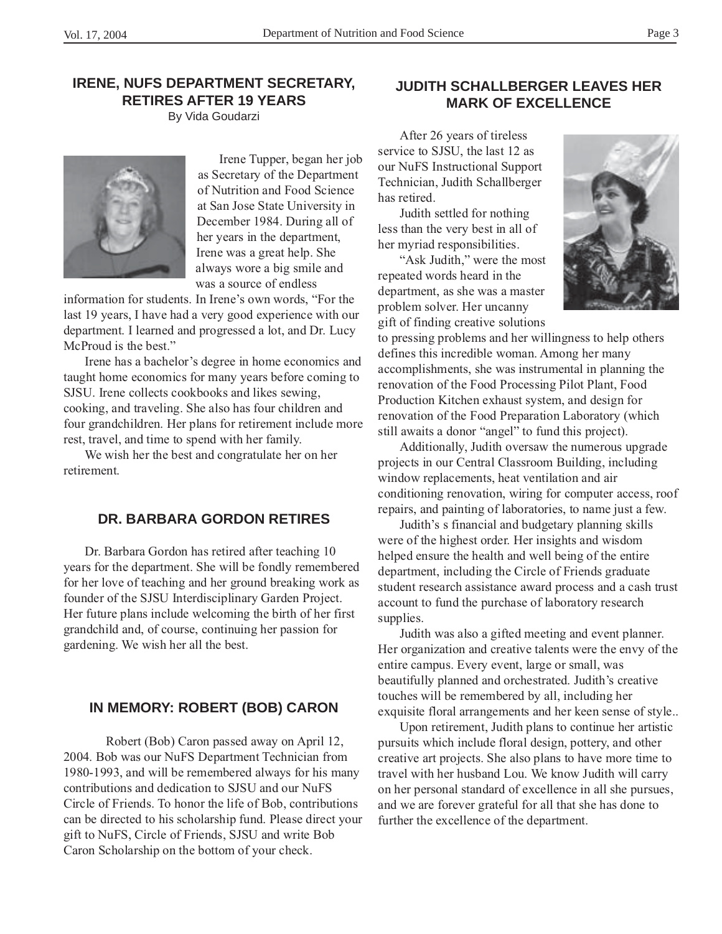## **IRENE, NUFS DEPARTMENT SECRETARY, RETIRES AFTER 19 YEARS**

By Vida Goudarzi



Irene Tupper, began her job as Secretary of the Department of Nutrition and Food Science at San Jose State University in December 1984. During all of her years in the department, Irene was a great help. She always wore a big smile and was a source of endless

information for students. In Irene's own words, "For the last 19 years, I have had a very good experience with our department. I learned and progressed a lot, and Dr. Lucy McProud is the best."

Irene has a bachelor's degree in home economics and taught home economics for many years before coming to SJSU. Irene collects cookbooks and likes sewing, cooking, and traveling. She also has four children and four grandchildren. Her plans for retirement include more rest, travel, and time to spend with her family.

We wish her the best and congratulate her on her retirement.

## **DR. BARBARA GORDON RETIRES**

Dr. Barbara Gordon has retired after teaching 10 years for the department. She will be fondly remembered for her love of teaching and her ground breaking work as founder of the SJSU Interdisciplinary Garden Project. Her future plans include welcoming the birth of her first grandchild and, of course, continuing her passion for gardening. We wish her all the best.

## **IN MEMORY: ROBERT (BOB) CARON**

Robert (Bob) Caron passed away on April 12, 2004. Bob was our NuFS Department Technician from 1980-1993, and will be remembered always for his many contributions and dedication to SJSU and our NuFS Circle of Friends. To honor the life of Bob, contributions can be directed to his scholarship fund. Please direct your gift to NuFS, Circle of Friends, SJSU and write Bob Caron Scholarship on the bottom of your check.

## **JUDITH SCHALLBERGER LEAVES HER MARK OF EXCELLENCE**

After 26 years of tireless service to SJSU, the last 12 as our NuFS Instructional Support Technician, Judith Schallberger has retired.

Judith settled for nothing less than the very best in all of her myriad responsibilities.

"Ask Judith," were the most repeated words heard in the department, as she was a master problem solver. Her uncanny gift of finding creative solutions



to pressing problems and her willingness to help others defines this incredible woman. Among her many accomplishments, she was instrumental in planning the renovation of the Food Processing Pilot Plant, Food Production Kitchen exhaust system, and design for renovation of the Food Preparation Laboratory (which still awaits a donor "angel" to fund this project).

Additionally, Judith oversaw the numerous upgrade projects in our Central Classroom Building, including window replacements, heat ventilation and air conditioning renovation, wiring for computer access, roof repairs, and painting of laboratories, to name just a few.

Judith's s financial and budgetary planning skills were of the highest order. Her insights and wisdom helped ensure the health and well being of the entire department, including the Circle of Friends graduate student research assistance award process and a cash trust account to fund the purchase of laboratory research supplies.

Judith was also a gifted meeting and event planner. Her organization and creative talents were the envy of the entire campus. Every event, large or small, was beautifully planned and orchestrated. Judith's creative touches will be remembered by all, including her exquisite floral arrangements and her keen sense of style..

Upon retirement, Judith plans to continue her artistic pursuits which include floral design, pottery, and other creative art projects. She also plans to have more time to travel with her husband Lou. We know Judith will carry on her personal standard of excellence in all she pursues, and we are forever grateful for all that she has done to further the excellence of the department.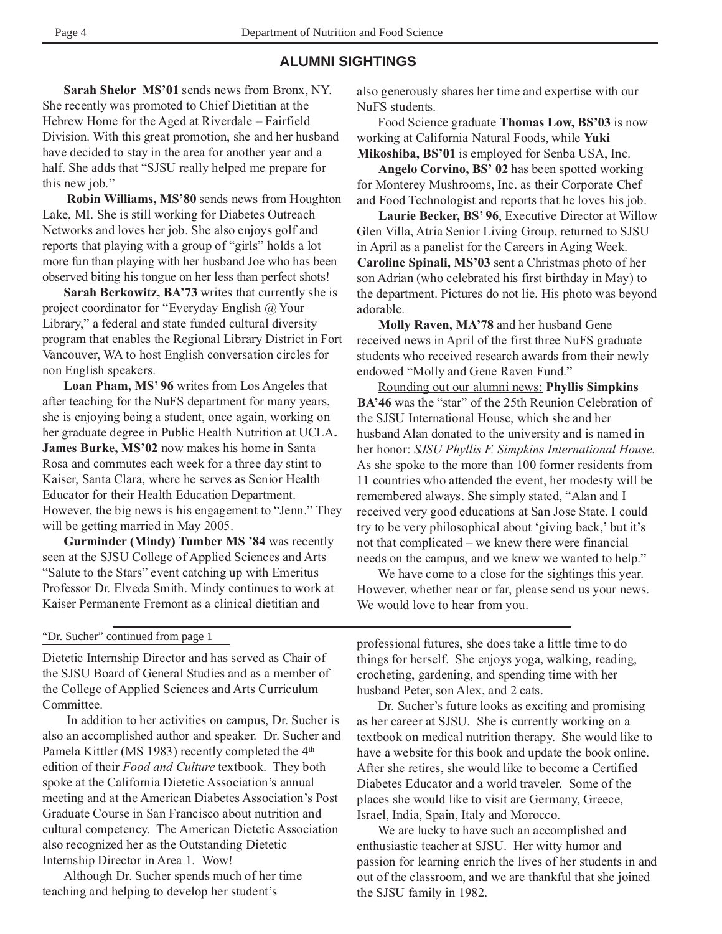## **ALUMNI SIGHTINGS**

**Sarah Shelor MS'01** sends news from Bronx, NY. She recently was promoted to Chief Dietitian at the Hebrew Home for the Aged at Riverdale – Fairfield Division. With this great promotion, she and her husband have decided to stay in the area for another year and a half. She adds that "SJSU really helped me prepare for this new job."

**Robin Williams, MS'80** sends news from Houghton Lake, MI. She is still working for Diabetes Outreach Networks and loves her job. She also enjoys golf and reports that playing with a group of "girls" holds a lot more fun than playing with her husband Joe who has been observed biting his tongue on her less than perfect shots!

**Sarah Berkowitz, BA'73** writes that currently she is project coordinator for "Everyday English @ Your Library," a federal and state funded cultural diversity program that enables the Regional Library District in Fort Vancouver, WA to host English conversation circles for non English speakers.

**Loan Pham, MS' 96** writes from Los Angeles that after teaching for the NuFS department for many years, she is enjoying being a student, once again, working on her graduate degree in Public Health Nutrition at UCLA**. James Burke, MS'02** now makes his home in Santa Rosa and commutes each week for a three day stint to Kaiser, Santa Clara, where he serves as Senior Health Educator for their Health Education Department. However, the big news is his engagement to "Jenn." They will be getting married in May 2005.

**Gurminder (Mindy) Tumber MS '84** was recently seen at the SJSU College of Applied Sciences and Arts "Salute to the Stars" event catching up with Emeritus Professor Dr. Elveda Smith. Mindy continues to work at Kaiser Permanente Fremont as a clinical dietitian and

also generously shares her time and expertise with our NuFS students.

Food Science graduate **Thomas Low, BS'03** is now working at California Natural Foods, while **Yuki Mikoshiba, BS'01** is employed for Senba USA, Inc.

**Angelo Corvino, BS' 02** has been spotted working for Monterey Mushrooms, Inc. as their Corporate Chef and Food Technologist and reports that he loves his job.

**Laurie Becker, BS' 96**, Executive Director at Willow Glen Villa, Atria Senior Living Group, returned to SJSU in April as a panelist for the Careers in Aging Week. **Caroline Spinali, MS'03** sent a Christmas photo of her son Adrian (who celebrated his first birthday in May) to the department. Pictures do not lie. His photo was beyond adorable.

**Molly Raven, MA'78** and her husband Gene received news in April of the first three NuFS graduate students who received research awards from their newly endowed "Molly and Gene Raven Fund."

Rounding out our alumni news: **Phyllis Simpkins BA'46** was the "star" of the 25th Reunion Celebration of the SJSU International House, which she and her husband Alan donated to the university and is named in her honor: *SJSU Phyllis F. Simpkins International House*. As she spoke to the more than 100 former residents from 11 countries who attended the event, her modesty will be remembered always. She simply stated, "Alan and I received very good educations at San Jose State. I could try to be very philosophical about 'giving back,' but it's not that complicated – we knew there were financial needs on the campus, and we knew we wanted to help."

We have come to a close for the sightings this year. However, whether near or far, please send us your news. We would love to hear from you.

#### "Dr. Sucher" continued from page 1

Dietetic Internship Director and has served as Chair of the SJSU Board of General Studies and as a member of the College of Applied Sciences and Arts Curriculum Committee.

 In addition to her activities on campus, Dr. Sucher is also an accomplished author and speaker. Dr. Sucher and Pamela Kittler (MS 1983) recently completed the 4<sup>th</sup> edition of their *Food and Culture* textbook. They both spoke at the California Dietetic Association's annual meeting and at the American Diabetes Association's Post Graduate Course in San Francisco about nutrition and cultural competency. The American Dietetic Association also recognized her as the Outstanding Dietetic Internship Director in Area 1. Wow!

Although Dr. Sucher spends much of her time teaching and helping to develop her student's

professional futures, she does take a little time to do things for herself. She enjoys yoga, walking, reading, crocheting, gardening, and spending time with her husband Peter, son Alex, and 2 cats.

Dr. Sucher's future looks as exciting and promising as her career at SJSU. She is currently working on a textbook on medical nutrition therapy. She would like to have a website for this book and update the book online. After she retires, she would like to become a Certified Diabetes Educator and a world traveler. Some of the places she would like to visit are Germany, Greece, Israel, India, Spain, Italy and Morocco.

We are lucky to have such an accomplished and enthusiastic teacher at SJSU. Her witty humor and passion for learning enrich the lives of her students in and out of the classroom, and we are thankful that she joined the SJSU family in 1982.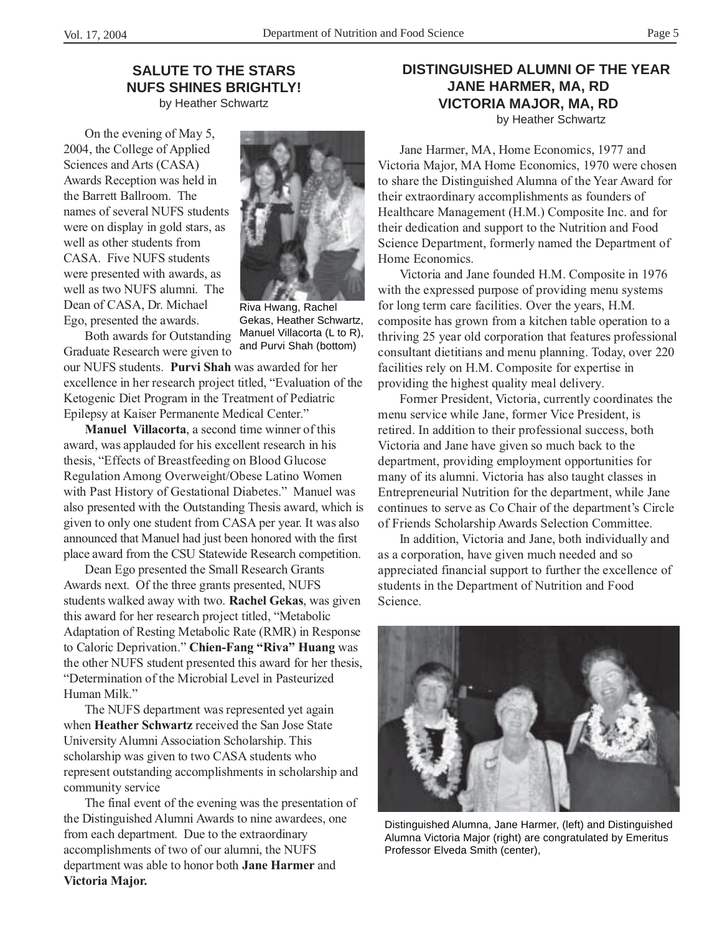## **SALUTE TO THE STARS NUFS SHINES BRIGHTLY!** by Heather Schwartz

On the evening of May 5, 2004, the College of Applied Sciences and Arts (CASA) Awards Reception was held in the Barrett Ballroom. The names of several NUFS students were on display in gold stars, as well as other students from CASA. Five NUFS students were presented with awards, as well as two NUFS alumni. The Dean of CASA, Dr. Michael Ego, presented the awards.



Riva Hwang, Rachel Gekas, Heather Schwartz, Manuel Villacorta (L to R), and Purvi Shah (bottom)

Both awards for Outstanding Graduate Research were given to

our NUFS students. **Purvi Shah** was awarded for her excellence in her research project titled, "Evaluation of the Ketogenic Diet Program in the Treatment of Pediatric Epilepsy at Kaiser Permanente Medical Center."

**Manuel Villacorta**, a second time winner of this award, was applauded for his excellent research in his thesis, "Effects of Breastfeeding on Blood Glucose Regulation Among Overweight/Obese Latino Women with Past History of Gestational Diabetes." Manuel was also presented with the Outstanding Thesis award, which is given to only one student from CASA per year. It was also announced that Manuel had just been honored with the first place award from the CSU Statewide Research competition.

Dean Ego presented the Small Research Grants Awards next. Of the three grants presented, NUFS students walked away with two. **Rachel Gekas**, was given this award for her research project titled, "Metabolic Adaptation of Resting Metabolic Rate (RMR) in Response to Caloric Deprivation." **Chien-Fang "Riva" Huang** was the other NUFS student presented this award for her thesis, "Determination of the Microbial Level in Pasteurized Human Milk."

The NUFS department was represented yet again when **Heather Schwartz** received the San Jose State University Alumni Association Scholarship. This scholarship was given to two CASA students who represent outstanding accomplishments in scholarship and community service

The final event of the evening was the presentation of the Distinguished Alumni Awards to nine awardees, one from each department. Due to the extraordinary accomplishments of two of our alumni, the NUFS department was able to honor both **Jane Harmer** and **Victoria Major.**

## **DISTINGUISHED ALUMNI OF THE YEAR JANE HARMER, MA, RD VICTORIA MAJOR, MA, RD** by Heather Schwartz

Jane Harmer, MA, Home Economics, 1977 and Victoria Major, MA Home Economics, 1970 were chosen to share the Distinguished Alumna of the Year Award for their extraordinary accomplishments as founders of Healthcare Management (H.M.) Composite Inc. and for their dedication and support to the Nutrition and Food Science Department, formerly named the Department of Home Economics.

Victoria and Jane founded H.M. Composite in 1976 with the expressed purpose of providing menu systems for long term care facilities. Over the years, H.M. composite has grown from a kitchen table operation to a thriving 25 year old corporation that features professional consultant dietitians and menu planning. Today, over 220 facilities rely on H.M. Composite for expertise in providing the highest quality meal delivery.

Former President, Victoria, currently coordinates the menu service while Jane, former Vice President, is retired. In addition to their professional success, both Victoria and Jane have given so much back to the department, providing employment opportunities for many of its alumni. Victoria has also taught classes in Entrepreneurial Nutrition for the department, while Jane continues to serve as Co Chair of the department's Circle of Friends Scholarship Awards Selection Committee.

In addition, Victoria and Jane, both individually and as a corporation, have given much needed and so appreciated financial support to further the excellence of students in the Department of Nutrition and Food Science.



Distinguished Alumna, Jane Harmer, (left) and Distinguished Alumna Victoria Major (right) are congratulated by Emeritus Professor Elveda Smith (center),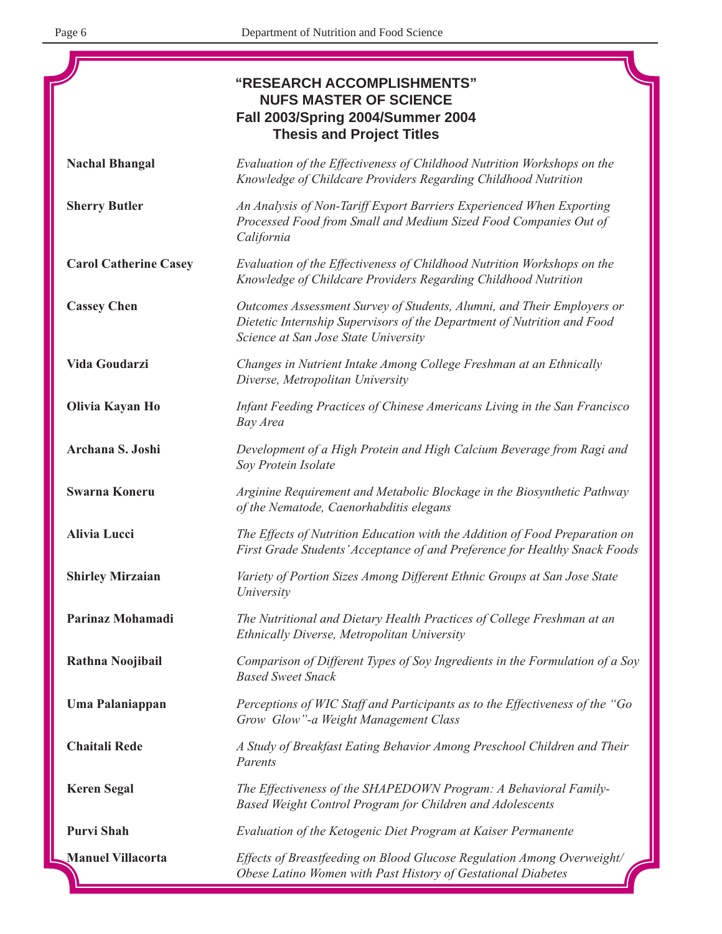|                              | <b>"RESEARCH ACCOMPLISHMENTS"</b><br><b>NUFS MASTER OF SCIENCE</b><br><b>Fall 2003/Spring 2004/Summer 2004</b><br><b>Thesis and Project Titles</b>                                        |
|------------------------------|-------------------------------------------------------------------------------------------------------------------------------------------------------------------------------------------|
| <b>Nachal Bhangal</b>        | Evaluation of the Effectiveness of Childhood Nutrition Workshops on the<br>Knowledge of Childcare Providers Regarding Childhood Nutrition                                                 |
| <b>Sherry Butler</b>         | An Analysis of Non-Tariff Export Barriers Experienced When Exporting<br>Processed Food from Small and Medium Sized Food Companies Out of<br>California                                    |
| <b>Carol Catherine Casey</b> | Evaluation of the Effectiveness of Childhood Nutrition Workshops on the<br>Knowledge of Childcare Providers Regarding Childhood Nutrition                                                 |
| <b>Cassey Chen</b>           | Outcomes Assessment Survey of Students, Alumni, and Their Employers or<br>Dietetic Internship Supervisors of the Department of Nutrition and Food<br>Science at San Jose State University |
| Vida Goudarzi                | Changes in Nutrient Intake Among College Freshman at an Ethnically<br>Diverse, Metropolitan University                                                                                    |
| Olivia Kayan Ho              | Infant Feeding Practices of Chinese Americans Living in the San Francisco<br>Bay Area                                                                                                     |
| Archana S. Joshi             | Development of a High Protein and High Calcium Beverage from Ragi and<br>Soy Protein Isolate                                                                                              |
| <b>Swarna Koneru</b>         | Arginine Requirement and Metabolic Blockage in the Biosynthetic Pathway<br>of the Nematode, Caenorhabditis elegans                                                                        |
| <b>Alivia Lucci</b>          | The Effects of Nutrition Education with the Addition of Food Preparation on<br>First Grade Students' Acceptance of and Preference for Healthy Snack Foods                                 |
| <b>Shirley Mirzaian</b>      | Variety of Portion Sizes Among Different Ethnic Groups at San Jose State<br>University                                                                                                    |
| Parinaz Mohamadi             | The Nutritional and Dietary Health Practices of College Freshman at an<br>Ethnically Diverse, Metropolitan University                                                                     |
| Rathna Noojibail             | Comparison of Different Types of Soy Ingredients in the Formulation of a Soy<br><b>Based Sweet Snack</b>                                                                                  |
| Uma Palaniappan              | Perceptions of WIC Staff and Participants as to the Effectiveness of the "Go<br>Grow Glow"-a Weight Management Class                                                                      |
| <b>Chaitali Rede</b>         | A Study of Breakfast Eating Behavior Among Preschool Children and Their<br>Parents                                                                                                        |
| <b>Keren Segal</b>           | The Effectiveness of the SHAPEDOWN Program: A Behavioral Family-<br>Based Weight Control Program for Children and Adolescents                                                             |
| <b>Purvi Shah</b>            | Evaluation of the Ketogenic Diet Program at Kaiser Permanente                                                                                                                             |
| <b>Manuel Villacorta</b>     | Effects of Breastfeeding on Blood Glucose Regulation Among Overweight/<br>Obese Latino Women with Past History of Gestational Diabetes                                                    |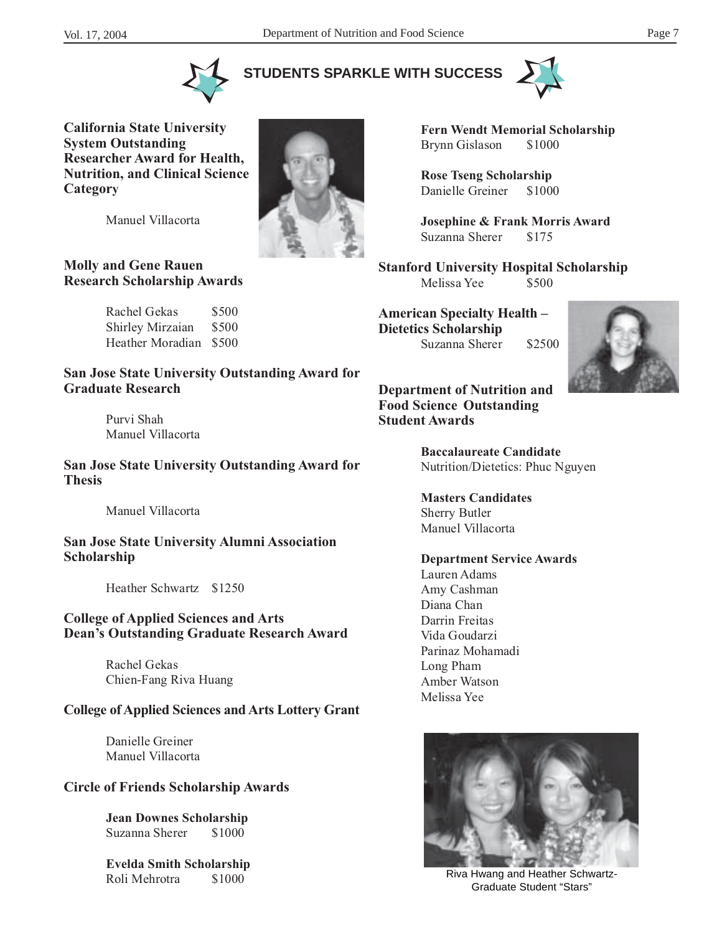**STUDENTS SPARKLE WITH SUCCESS**





**California State University System Outstanding Researcher Award for Health, Nutrition, and Clinical Science Category**

Manuel Villacorta

#### **Molly and Gene Rauen Research Scholarship Awards**

Rachel Gekas \$500 Shirley Mirzaian \$500 Heather Moradian \$500

**San Jose State University Outstanding Award for Graduate Research**

> Purvi Shah Manuel Villacorta

**San Jose State University Outstanding Award for Thesis**

Manuel Villacorta

**San Jose State University Alumni Association Scholarship**

Heather Schwartz \$1250

## **College of Applied Sciences and Arts Dean's Outstanding Graduate Research Award**

Rachel Gekas Chien-Fang Riva Huang

## **College of Applied Sciences and Arts Lottery Grant**

Danielle Greiner Manuel Villacorta

## **Circle of Friends Scholarship Awards**

**Jean Downes Scholarship** Suzanna Sherer \$1000

**Evelda Smith Scholarship**





**Fern Wendt Memorial Scholarship** Brynn Gislason \$1000

**Rose Tseng Scholarship** Danielle Greiner \$1000

**Josephine & Frank Morris Award** Suzanna Sherer \$175

**Stanford University Hospital Scholarship** Melissa Yee \$500

**American Specialty Health – Dietetics Scholarship** Suzanna Sherer \$2500



**Department of Nutrition and Food Science Outstanding Student Awards**

> **Baccalaureate Candidate** Nutrition/Dietetics: Phuc Nguyen

**Masters Candidates** Sherry Butler Manuel Villacorta

#### **Department Service Awards**

Lauren Adams Amy Cashman Diana Chan Darrin Freitas Vida Goudarzi Parinaz Mohamadi Long Pham Amber Watson Melissa Yee



Roli Mehrotra \$1000 8000 Riva Hwang and Heather Schwartz-Graduate Student "Stars"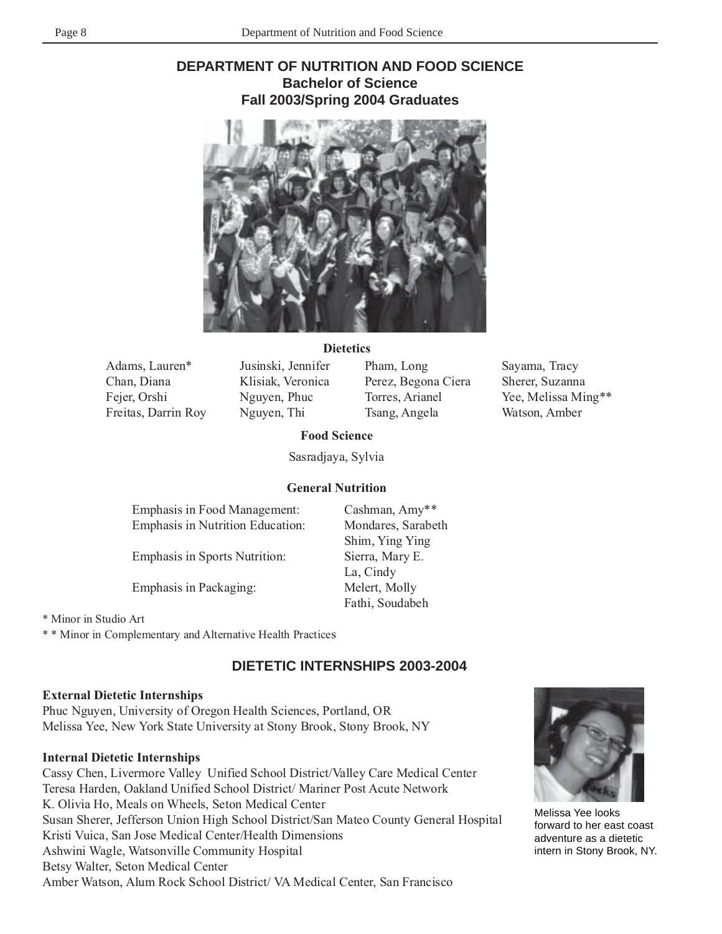## **DEPARTMENT OF NUTRITION AND FOOD SCIENCE Bachelor of Science Fall 2003/Spring 2004 Graduates**



#### **Dietetics**

Adams, Lauren\* Chan, Diana Fejer, Orshi Freitas, Darrin Roy

Jusinski, Jennifer Klisiak, Veronica Nguyen, Phuc Nguyen, Thi

Pham, Long Perez, Begona Ciera Torres, Arianel Tsang, Angela

Sayama, Tracy Sherer, Suzanna Yee, Melissa Ming\*\* Watson, Amber

**Food Science**

Sasradjaya, Sylvia

#### **General Nutrition**

| <b>Emphasis in Food Management:</b>     | Cashman, Amy**     |
|-----------------------------------------|--------------------|
| <b>Emphasis in Nutrition Education:</b> | Mondares, Sarabeth |
|                                         | Shim, Ying Ying    |
| <b>Emphasis in Sports Nutrition:</b>    | Sierra, Mary E.    |
|                                         | La, Cindy          |
| <b>Emphasis in Packaging:</b>           | Melert, Molly      |
|                                         | Fathi, Soudabeh    |
|                                         |                    |

\* Minor in Studio Art

\* \* Minor in Complementary and Alternative Health Practices

## **DIETETIC INTERNSHIPS 2003-2004**

## **External Dietetic Internships**

Phuc Nguyen, University of Oregon Health Sciences, Portland, OR Melissa Yee, New York State University at Stony Brook, Stony Brook, NY

## **Internal Dietetic Internships**

Cassy Chen, Livermore Valley Unified School District/Valley Care Medical Center Teresa Harden, Oakland Unified School District/ Mariner Post Acute Network K. Olivia Ho, Meals on Wheels, Seton Medical Center Susan Sherer, Jefferson Union High School District/San Mateo County General Hospital Kristi Vuica, San Jose Medical Center/Health Dimensions Ashwini Wagle, Watsonville Community Hospital Betsy Walter, Seton Medical Center Amber Watson, Alum Rock School District/ VA Medical Center, San Francisco



Melissa Yee looks forward to her east coast adventure as a dietetic intern in Stony Brook, NY.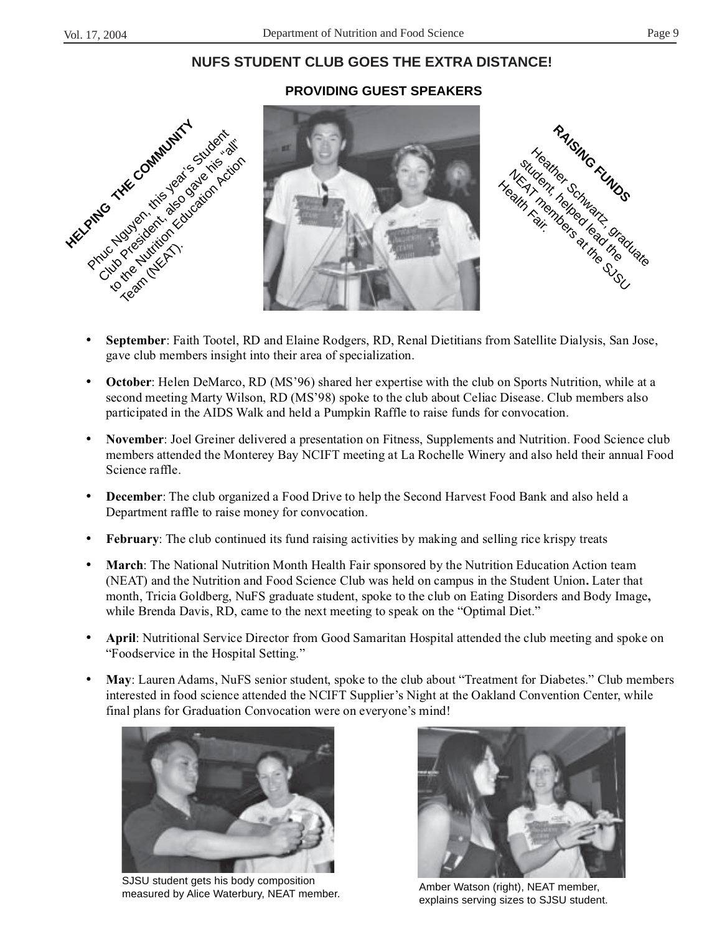## **NUFS STUDENT CLUB GOES THE EXTRA DISTANCE!**

#### **PROVIDING GUEST SPEAKERS**







- **September**: Faith Tootel, RD and Elaine Rodgers, RD, Renal Dietitians from Satellite Dialysis, San Jose, gave club members insight into their area of specialization.
- **October**: Helen DeMarco, RD (MS'96) shared her expertise with the club on Sports Nutrition, while at a second meeting Marty Wilson, RD (MS'98) spoke to the club about Celiac Disease. Club members also participated in the AIDS Walk and held a Pumpkin Raffle to raise funds for convocation.
- **November**: Joel Greiner delivered a presentation on Fitness, Supplements and Nutrition. Food Science club members attended the Monterey Bay NCIFT meeting at La Rochelle Winery and also held their annual Food Science raffle.
- **December**: The club organized a Food Drive to help the Second Harvest Food Bank and also held a Department raffle to raise money for convocation.
- **February**: The club continued its fund raising activities by making and selling rice krispy treats
- **March**: The National Nutrition Month Health Fair sponsored by the Nutrition Education Action team (NEAT) and the Nutrition and Food Science Club was held on campus in the Student Union**.** Later that month, Tricia Goldberg, NuFS graduate student, spoke to the club on Eating Disorders and Body Image**,** while Brenda Davis, RD, came to the next meeting to speak on the "Optimal Diet."
- **April**: Nutritional Service Director from Good Samaritan Hospital attended the club meeting and spoke on "Foodservice in the Hospital Setting."
- **May**: Lauren Adams, NuFS senior student, spoke to the club about "Treatment for Diabetes." Club members interested in food science attended the NCIFT Supplier's Night at the Oakland Convention Center, while final plans for Graduation Convocation were on everyone's mind!



SJSU student gets his body composition SJSD student gets his body composition<br>
measured by Alice Waterbury, NEAT member.<br>
Amber Watson (right), NEAT member,



explains serving sizes to SJSU student.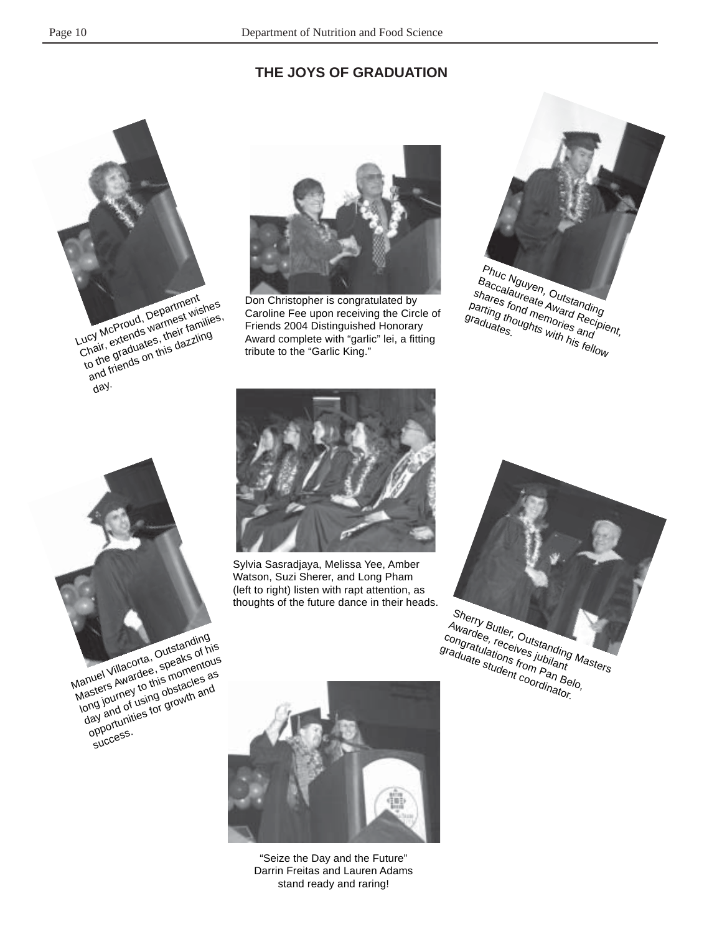## **THE JOYS OF GRADUATION**





Don Christopher is congratulated by Caroline Fee upon receiving the Circle of Friends 2004 Distinguished Honorary Award complete with "garlic" lei, a fitting tribute to the "Garlic King."







Watson, Suzi Sherer, and Long Pham (left to right) listen with rapt attention, as thoughts of the future dance in their heads.

Sherry Butler, Outstanding<br>Awardee, receives jubilanding<br>aduate studes from Pant Awardee, receiver, Cutstanding Management of the Student coordinations from Pan Belo, Sylvia Sasradjaya, Melissa Yee, Amber<br>
Watson, Suzi Sherer, and Long Pham<br>
(left to right) listen with rapt attention, as<br>
thoughts of the future dance in their heads.<br>
Sherry Butler, Outstanding<br>
ongratulations for Conten



"Seize the Day and the Future" Darrin Freitas and Lauren Adams stand ready and raring!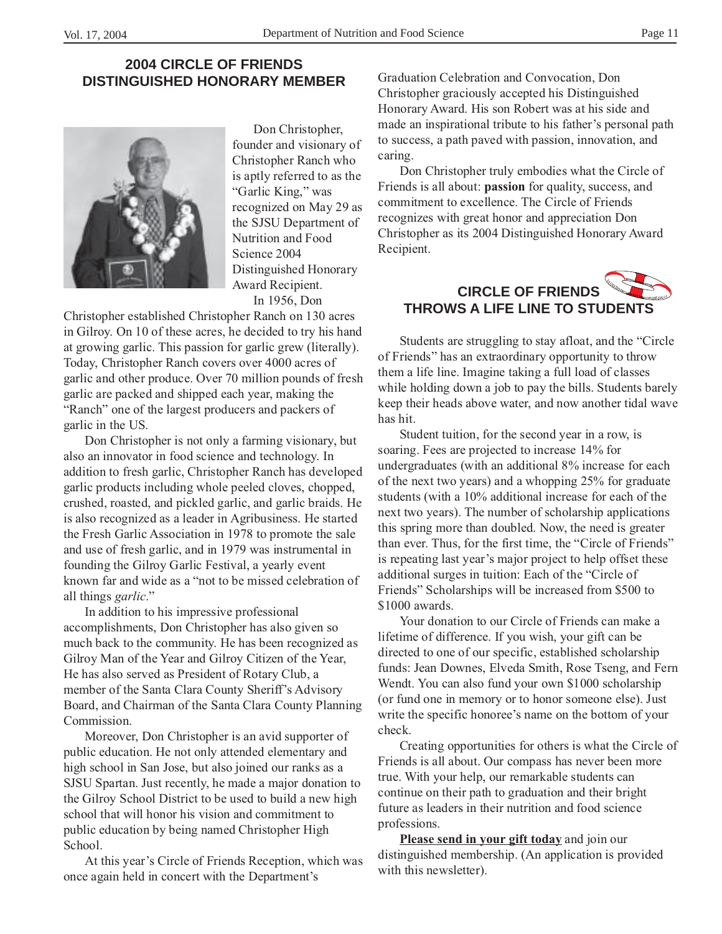## **2004 CIRCLE OF FRIENDS DISTINGUISHED HONORARY MEMBER**



Don Christopher, founder and visionary of Christopher Ranch who is aptly referred to as the "Garlic King," was recognized on May 29 as the SJSU Department of Nutrition and Food Science 2004 Distinguished Honorary Award Recipient. In 1956, Don

Christopher established Christopher Ranch on 130 acres in Gilroy. On 10 of these acres, he decided to try his hand at growing garlic. This passion for garlic grew (literally). Today, Christopher Ranch covers over 4000 acres of garlic and other produce. Over 70 million pounds of fresh garlic are packed and shipped each year, making the "Ranch" one of the largest producers and packers of garlic in the US.

Don Christopher is not only a farming visionary, but also an innovator in food science and technology. In addition to fresh garlic, Christopher Ranch has developed garlic products including whole peeled cloves, chopped, crushed, roasted, and pickled garlic, and garlic braids. He is also recognized as a leader in Agribusiness. He started the Fresh Garlic Association in 1978 to promote the sale and use of fresh garlic, and in 1979 was instrumental in founding the Gilroy Garlic Festival, a yearly event known far and wide as a "not to be missed celebration of all things *garlic*."

In addition to his impressive professional accomplishments, Don Christopher has also given so much back to the community. He has been recognized as Gilroy Man of the Year and Gilroy Citizen of the Year, He has also served as President of Rotary Club, a member of the Santa Clara County Sheriff's Advisory Board, and Chairman of the Santa Clara County Planning Commission.

Moreover, Don Christopher is an avid supporter of public education. He not only attended elementary and high school in San Jose, but also joined our ranks as a SJSU Spartan. Just recently, he made a major donation to the Gilroy School District to be used to build a new high school that will honor his vision and commitment to public education by being named Christopher High School.

At this year's Circle of Friends Reception, which was once again held in concert with the Department's

Graduation Celebration and Convocation, Don Christopher graciously accepted his Distinguished Honorary Award. His son Robert was at his side and made an inspirational tribute to his father's personal path to success, a path paved with passion, innovation, and caring.

Don Christopher truly embodies what the Circle of Friends is all about: **passion** for quality, success, and commitment to excellence. The Circle of Friends recognizes with great honor and appreciation Don Christopher as its 2004 Distinguished Honorary Award Recipient.

# **CIRCLE OF FRIENDS THROWS A LIFE LINE TO STUDENTS**

Students are struggling to stay afloat, and the "Circle of Friends" has an extraordinary opportunity to throw them a life line. Imagine taking a full load of classes while holding down a job to pay the bills. Students barely keep their heads above water, and now another tidal wave has hit.

Student tuition, for the second year in a row, is soaring. Fees are projected to increase 14% for undergraduates (with an additional 8% increase for each of the next two years) and a whopping 25% for graduate students (with a 10% additional increase for each of the next two years). The number of scholarship applications this spring more than doubled. Now, the need is greater than ever. Thus, for the first time, the "Circle of Friends" is repeating last year's major project to help offset these additional surges in tuition: Each of the "Circle of Friends" Scholarships will be increased from \$500 to \$1000 awards.

Your donation to our Circle of Friends can make a lifetime of difference. If you wish, your gift can be directed to one of our specific, established scholarship funds: Jean Downes, Elveda Smith, Rose Tseng, and Fern Wendt. You can also fund your own \$1000 scholarship (or fund one in memory or to honor someone else). Just write the specific honoree's name on the bottom of your check.

Creating opportunities for others is what the Circle of Friends is all about. Our compass has never been more true. With your help, our remarkable students can continue on their path to graduation and their bright future as leaders in their nutrition and food science professions.

**Please send in your gift today** and join our distinguished membership. (An application is provided with this newsletter).